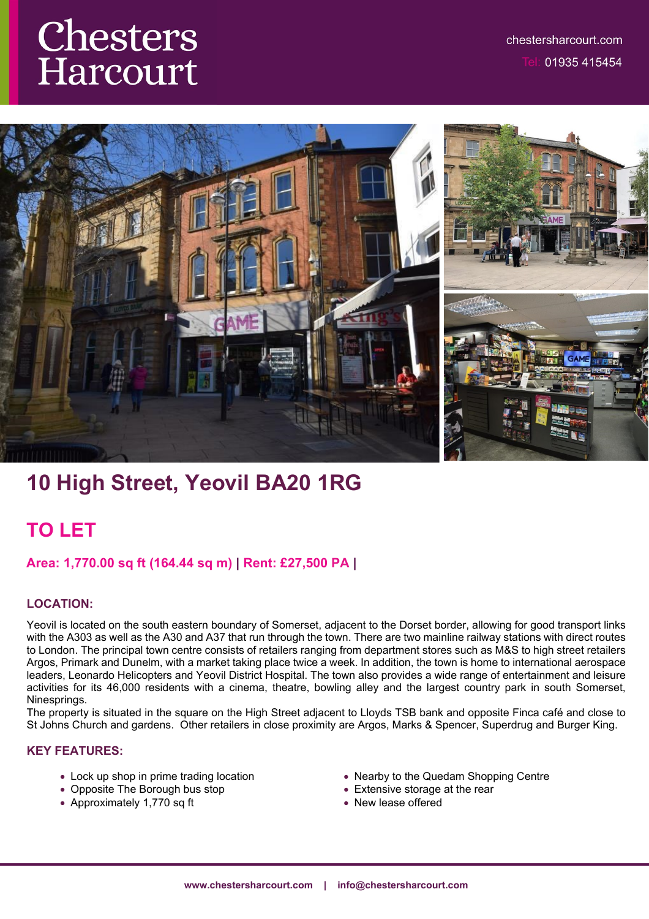# Chesters Harcourt



# **10 High Street, Yeovil BA20 1RG**

## **TO LET**

## **Area: 1,770.00 sq ft (164.44 sq m) | Rent: £27,500 PA |**

## **LOCATION:**

Yeovil is located on the south eastern boundary of Somerset, adjacent to the Dorset border, allowing for good transport links with the A303 as well as the A30 and A37 that run through the town. There are two mainline railway stations with direct routes to London. The principal town centre consists of retailers ranging from department stores such as M&S to high street retailers Argos, Primark and Dunelm, with a market taking place twice a week. In addition, the town is home to international aerospace leaders, Leonardo Helicopters and Yeovil District Hospital. The town also provides a wide range of entertainment and leisure activities for its 46,000 residents with a cinema, theatre, bowling alley and the largest country park in south Somerset, Ninesprings.

The property is situated in the square on the High Street adjacent to Lloyds TSB bank and opposite Finca café and close to St Johns Church and gardens. Other retailers in close proximity are Argos, Marks & Spencer, Superdrug and Burger King.

## **KEY FEATURES:**

- Lock up shop in prime trading location
- Opposite The Borough bus stop
- Approximately 1,770 sq ft
- Nearby to the Quedam Shopping Centre
- Extensive storage at the rear
- New lease offered